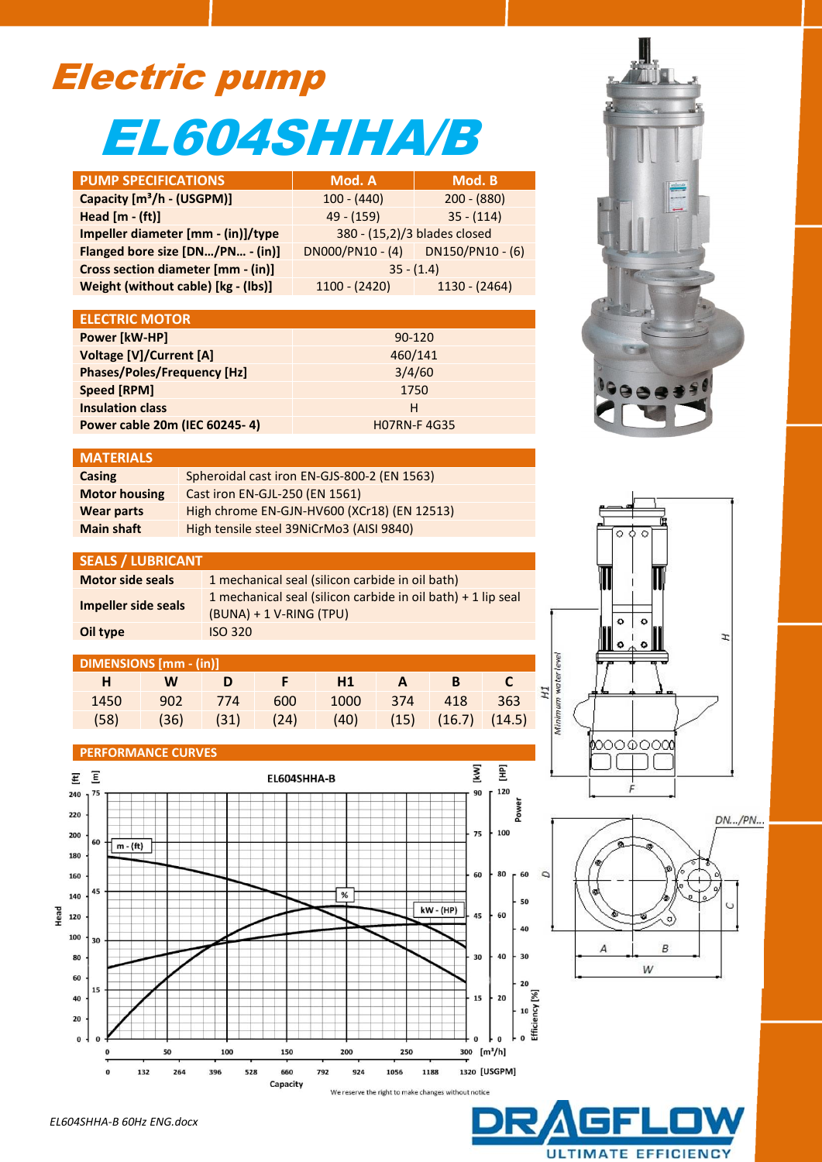# Electric pump EL604SHHA/B

| <b>PUMP SPECIFICATIONS</b>                | Mod. A                                | Mod. B          |  |  |
|-------------------------------------------|---------------------------------------|-----------------|--|--|
| Capacity [m <sup>3</sup> /h - (USGPM)]    | $100 - (440)$                         | $200 - (880)$   |  |  |
| Head $[m - (ft)]$                         | $49 - (159)$                          | $35 - (114)$    |  |  |
| Impeller diameter [mm - (in)]/type        | 380 - (15,2)/3 blades closed          |                 |  |  |
| Flanged bore size [DN/PN - (in)]          | $DNOOO/PN10 - (4)$ $DN150/PN10 - (6)$ |                 |  |  |
| <b>Cross section diameter [mm - (in)]</b> | $35 - (1.4)$                          |                 |  |  |
| Weight (without cable) [kg - (lbs)]       | $1100 - (2420)$                       | $1130 - (2464)$ |  |  |

| <b>ELECTRIC MOTOR</b>              |                    |
|------------------------------------|--------------------|
| Power [kW-HP]                      | $90 - 120$         |
| Voltage [V]/Current [A]            | 460/141            |
| <b>Phases/Poles/Frequency [Hz]</b> | 3/4/60             |
| Speed [RPM]                        | 1750               |
| <b>Insulation class</b>            | н                  |
| Power cable 20m (IEC 60245-4)      | <b>HO7RN-F4G35</b> |

# **MATERIALS**

| Casing               | Spheroidal cast iron EN-GJS-800-2 (EN 1563) |
|----------------------|---------------------------------------------|
| <b>Motor housing</b> | Cast iron EN-GJL-250 (EN 1561)              |
| <b>Wear parts</b>    | High chrome EN-GJN-HV600 (XCr18) (EN 12513) |
| <b>Main shaft</b>    | High tensile steel 39NiCrMo3 (AISI 9840)    |

#### **SEALS / LUBRICANT**

| <b>Motor side seals</b> | 1 mechanical seal (silicon carbide in oil bath)                                             |
|-------------------------|---------------------------------------------------------------------------------------------|
| Impeller side seals     | 1 mechanical seal (silicon carbide in oil bath) $+$ 1 lip seal<br>$(BUNA) + 1 V-RING (TPU)$ |
| Oil type                | <b>ISO 320</b>                                                                              |

## **DIMENSIONS [mm - (in)]**

| H    | <b>W</b> | - D | F H1                                                 | $ A$ $-$ |  |  |
|------|----------|-----|------------------------------------------------------|----------|--|--|
| 1450 |          |     | 902 774 600 1000 374 418 363                         |          |  |  |
| (58) |          |     | $(36)$ $(31)$ $(24)$ $(40)$ $(15)$ $(16.7)$ $(14.5)$ |          |  |  |

### **PERFORMANCE CURVES**